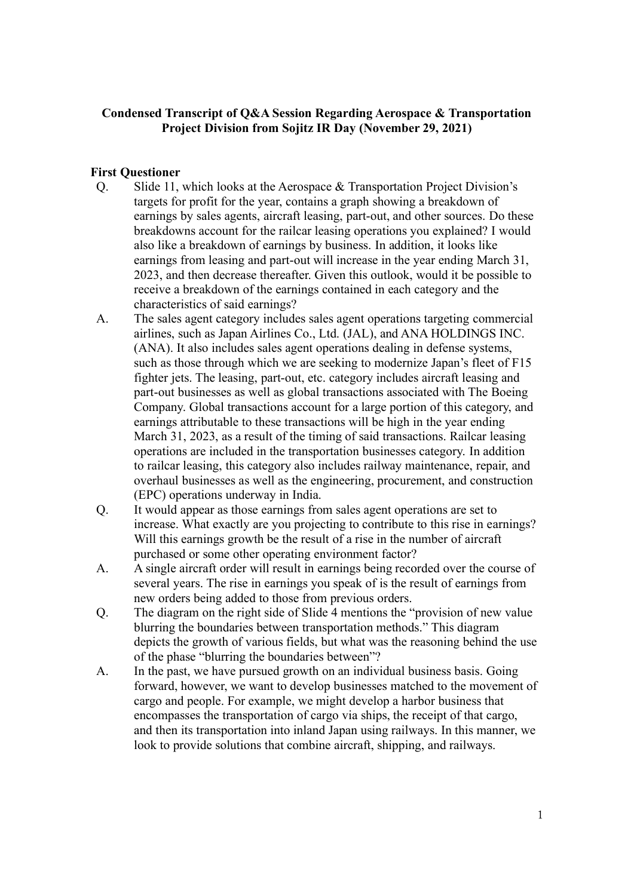# **Condensed Transcript of Q&A Session Regarding Aerospace & Transportation Project Division from Sojitz IR Day (November 29, 2021)**

## **First Questioner**

- Q. Slide 11, which looks at the Aerospace & Transportation Project Division's targets for profit for the year, contains a graph showing a breakdown of earnings by sales agents, aircraft leasing, part-out, and other sources. Do these breakdowns account for the railcar leasing operations you explained? I would also like a breakdown of earnings by business. In addition, it looks like earnings from leasing and part-out will increase in the year ending March 31, 2023, and then decrease thereafter. Given this outlook, would it be possible to receive a breakdown of the earnings contained in each category and the characteristics of said earnings?
- A. The sales agent category includes sales agent operations targeting commercial airlines, such as Japan Airlines Co., Ltd. (JAL), and ANA HOLDINGS INC. (ANA). It also includes sales agent operations dealing in defense systems, such as those through which we are seeking to modernize Japan's fleet of F15 fighter jets. The leasing, part-out, etc. category includes aircraft leasing and part-out businesses as well as global transactions associated with The Boeing Company. Global transactions account for a large portion of this category, and earnings attributable to these transactions will be high in the year ending March 31, 2023, as a result of the timing of said transactions. Railcar leasing operations are included in the transportation businesses category. In addition to railcar leasing, this category also includes railway maintenance, repair, and overhaul businesses as well as the engineering, procurement, and construction (EPC) operations underway in India.
- Q. It would appear as those earnings from sales agent operations are set to increase. What exactly are you projecting to contribute to this rise in earnings? Will this earnings growth be the result of a rise in the number of aircraft purchased or some other operating environment factor?
- A. A single aircraft order will result in earnings being recorded over the course of several years. The rise in earnings you speak of is the result of earnings from new orders being added to those from previous orders.
- Q. The diagram on the right side of Slide 4 mentions the "provision of new value blurring the boundaries between transportation methods." This diagram depicts the growth of various fields, but what was the reasoning behind the use of the phase "blurring the boundaries between"?
- A. In the past, we have pursued growth on an individual business basis. Going forward, however, we want to develop businesses matched to the movement of cargo and people. For example, we might develop a harbor business that encompasses the transportation of cargo via ships, the receipt of that cargo, and then its transportation into inland Japan using railways. In this manner, we look to provide solutions that combine aircraft, shipping, and railways.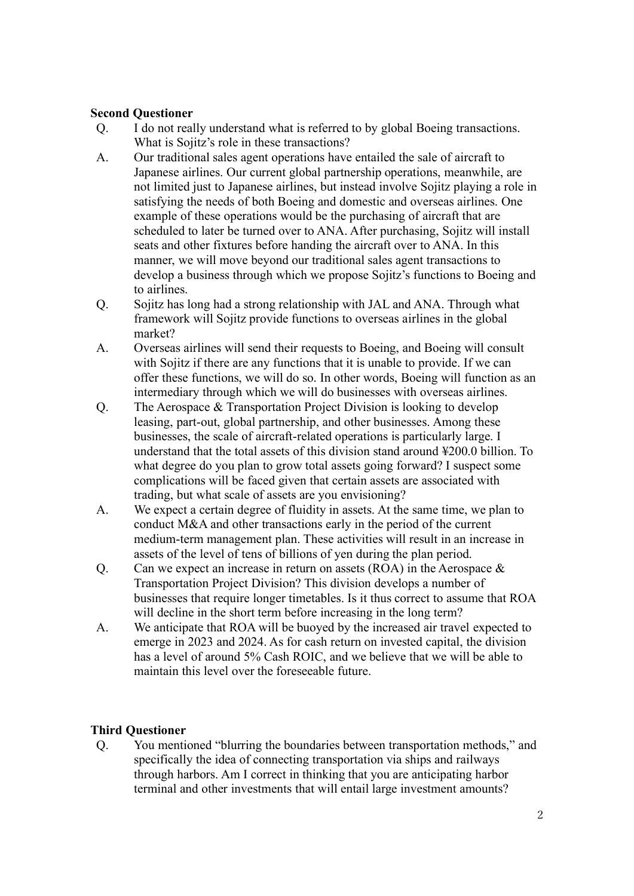## **Second Questioner**

- Q. I do not really understand what is referred to by global Boeing transactions. What is Sojitz's role in these transactions?
- A. Our traditional sales agent operations have entailed the sale of aircraft to Japanese airlines. Our current global partnership operations, meanwhile, are not limited just to Japanese airlines, but instead involve Sojitz playing a role in satisfying the needs of both Boeing and domestic and overseas airlines. One example of these operations would be the purchasing of aircraft that are scheduled to later be turned over to ANA. After purchasing, Sojitz will install seats and other fixtures before handing the aircraft over to ANA. In this manner, we will move beyond our traditional sales agent transactions to develop a business through which we propose Sojitz's functions to Boeing and to airlines.
- Q. Sojitz has long had a strong relationship with JAL and ANA. Through what framework will Sojitz provide functions to overseas airlines in the global market?
- A. Overseas airlines will send their requests to Boeing, and Boeing will consult with Sojitz if there are any functions that it is unable to provide. If we can offer these functions, we will do so. In other words, Boeing will function as an intermediary through which we will do businesses with overseas airlines.
- Q. The Aerospace & Transportation Project Division is looking to develop leasing, part-out, global partnership, and other businesses. Among these businesses, the scale of aircraft-related operations is particularly large. I understand that the total assets of this division stand around ¥200.0 billion. To what degree do you plan to grow total assets going forward? I suspect some complications will be faced given that certain assets are associated with trading, but what scale of assets are you envisioning?
- A. We expect a certain degree of fluidity in assets. At the same time, we plan to conduct M&A and other transactions early in the period of the current medium-term management plan. These activities will result in an increase in assets of the level of tens of billions of yen during the plan period.
- Q. Can we expect an increase in return on assets (ROA) in the Aerospace & Transportation Project Division? This division develops a number of businesses that require longer timetables. Is it thus correct to assume that ROA will decline in the short term before increasing in the long term?
- A. We anticipate that ROA will be buoyed by the increased air travel expected to emerge in 2023 and 2024. As for cash return on invested capital, the division has a level of around 5% Cash ROIC, and we believe that we will be able to maintain this level over the foreseeable future.

# **Third Questioner**

Q. You mentioned "blurring the boundaries between transportation methods," and specifically the idea of connecting transportation via ships and railways through harbors. Am I correct in thinking that you are anticipating harbor terminal and other investments that will entail large investment amounts?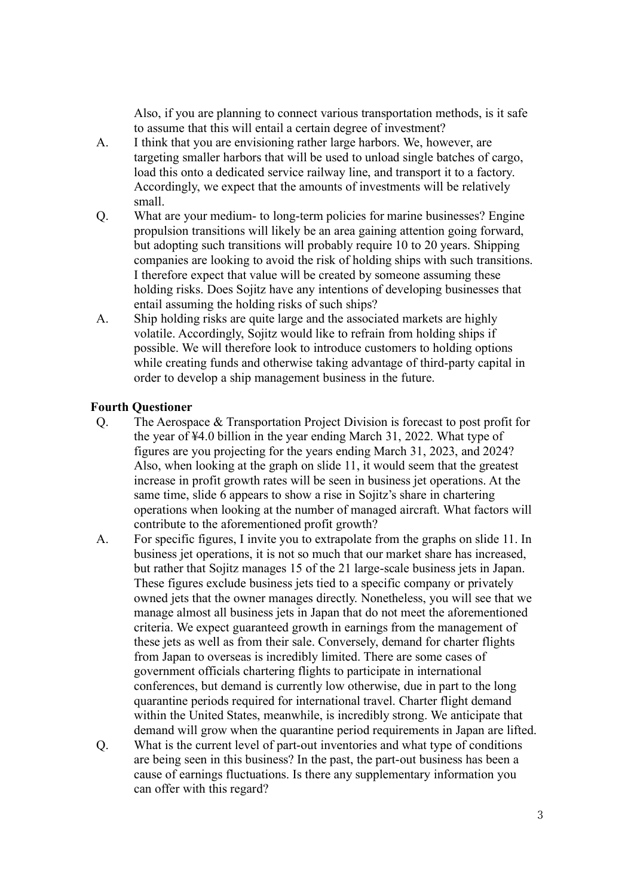Also, if you are planning to connect various transportation methods, is it safe to assume that this will entail a certain degree of investment?

- A. I think that you are envisioning rather large harbors. We, however, are targeting smaller harbors that will be used to unload single batches of cargo, load this onto a dedicated service railway line, and transport it to a factory. Accordingly, we expect that the amounts of investments will be relatively small.
- Q. What are your medium- to long-term policies for marine businesses? Engine propulsion transitions will likely be an area gaining attention going forward, but adopting such transitions will probably require 10 to 20 years. Shipping companies are looking to avoid the risk of holding ships with such transitions. I therefore expect that value will be created by someone assuming these holding risks. Does Sojitz have any intentions of developing businesses that entail assuming the holding risks of such ships?
- A. Ship holding risks are quite large and the associated markets are highly volatile. Accordingly, Sojitz would like to refrain from holding ships if possible. We will therefore look to introduce customers to holding options while creating funds and otherwise taking advantage of third-party capital in order to develop a ship management business in the future.

#### **Fourth Questioner**

- Q. The Aerospace & Transportation Project Division is forecast to post profit for the year of ¥4.0 billion in the year ending March 31, 2022. What type of figures are you projecting for the years ending March 31, 2023, and 2024? Also, when looking at the graph on slide 11, it would seem that the greatest increase in profit growth rates will be seen in business jet operations. At the same time, slide 6 appears to show a rise in Sojitz's share in chartering operations when looking at the number of managed aircraft. What factors will contribute to the aforementioned profit growth?
- A. For specific figures, I invite you to extrapolate from the graphs on slide 11. In business jet operations, it is not so much that our market share has increased, but rather that Sojitz manages 15 of the 21 large-scale business jets in Japan. These figures exclude business jets tied to a specific company or privately owned jets that the owner manages directly. Nonetheless, you will see that we manage almost all business jets in Japan that do not meet the aforementioned criteria. We expect guaranteed growth in earnings from the management of these jets as well as from their sale. Conversely, demand for charter flights from Japan to overseas is incredibly limited. There are some cases of government officials chartering flights to participate in international conferences, but demand is currently low otherwise, due in part to the long quarantine periods required for international travel. Charter flight demand within the United States, meanwhile, is incredibly strong. We anticipate that demand will grow when the quarantine period requirements in Japan are lifted.
- Q. What is the current level of part-out inventories and what type of conditions are being seen in this business? In the past, the part-out business has been a cause of earnings fluctuations. Is there any supplementary information you can offer with this regard?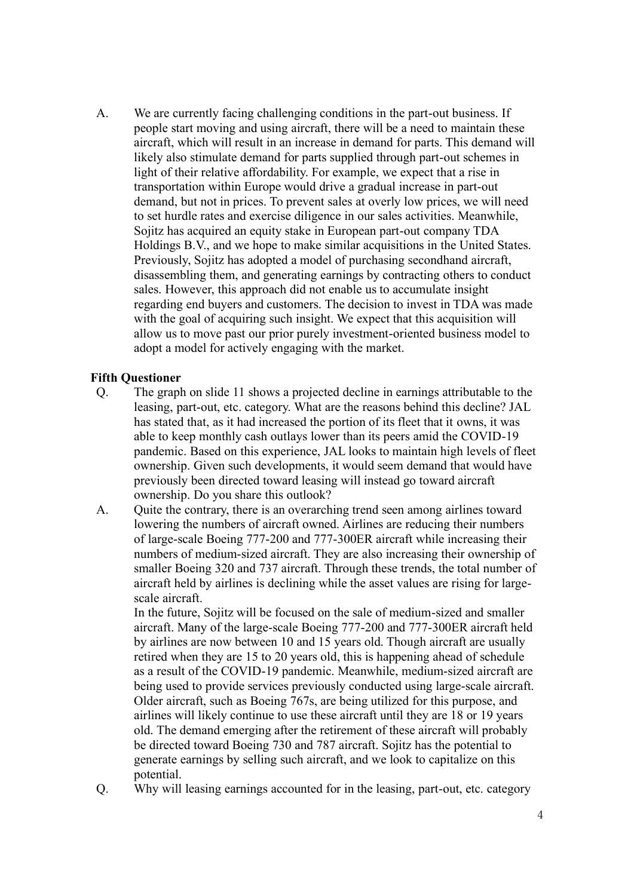A. We are currently facing challenging conditions in the part-out business. If people start moving and using aircraft, there will be a need to maintain these aircraft, which will result in an increase in demand for parts. This demand will likely also stimulate demand for parts supplied through part-out schemes in light of their relative affordability. For example, we expect that a rise in transportation within Europe would drive a gradual increase in part-out demand, but not in prices. To prevent sales at overly low prices, we will need to set hurdle rates and exercise diligence in our sales activities. Meanwhile, Sojitz has acquired an equity stake in European part-out company TDA Holdings B.V., and we hope to make similar acquisitions in the United States. Previously, Sojitz has adopted a model of purchasing secondhand aircraft, disassembling them, and generating earnings by contracting others to conduct sales. However, this approach did not enable us to accumulate insight regarding end buyers and customers. The decision to invest in TDA was made with the goal of acquiring such insight. We expect that this acquisition will allow us to move past our prior purely investment-oriented business model to adopt a model for actively engaging with the market.

### **Fifth Questioner**

- Q. The graph on slide 11 shows a projected decline in earnings attributable to the leasing, part-out, etc. category. What are the reasons behind this decline? JAL has stated that, as it had increased the portion of its fleet that it owns, it was able to keep monthly cash outlays lower than its peers amid the COVID-19 pandemic. Based on this experience, JAL looks to maintain high levels of fleet ownership. Given such developments, it would seem demand that would have previously been directed toward leasing will instead go toward aircraft ownership. Do you share this outlook?
- A. Quite the contrary, there is an overarching trend seen among airlines toward lowering the numbers of aircraft owned. Airlines are reducing their numbers of large-scale Boeing 777-200 and 777-300ER aircraft while increasing their numbers of medium-sized aircraft. They are also increasing their ownership of smaller Boeing 320 and 737 aircraft. Through these trends, the total number of aircraft held by airlines is declining while the asset values are rising for largescale aircraft.

In the future, Sojitz will be focused on the sale of medium-sized and smaller aircraft. Many of the large-scale Boeing 777-200 and 777-300ER aircraft held by airlines are now between 10 and 15 years old. Though aircraft are usually retired when they are 15 to 20 years old, this is happening ahead of schedule as a result of the COVID-19 pandemic. Meanwhile, medium-sized aircraft are being used to provide services previously conducted using large-scale aircraft. Older aircraft, such as Boeing 767s, are being utilized for this purpose, and airlines will likely continue to use these aircraft until they are 18 or 19 years old. The demand emerging after the retirement of these aircraft will probably be directed toward Boeing 730 and 787 aircraft. Sojitz has the potential to generate earnings by selling such aircraft, and we look to capitalize on this potential.

Q. Why will leasing earnings accounted for in the leasing, part-out, etc. category